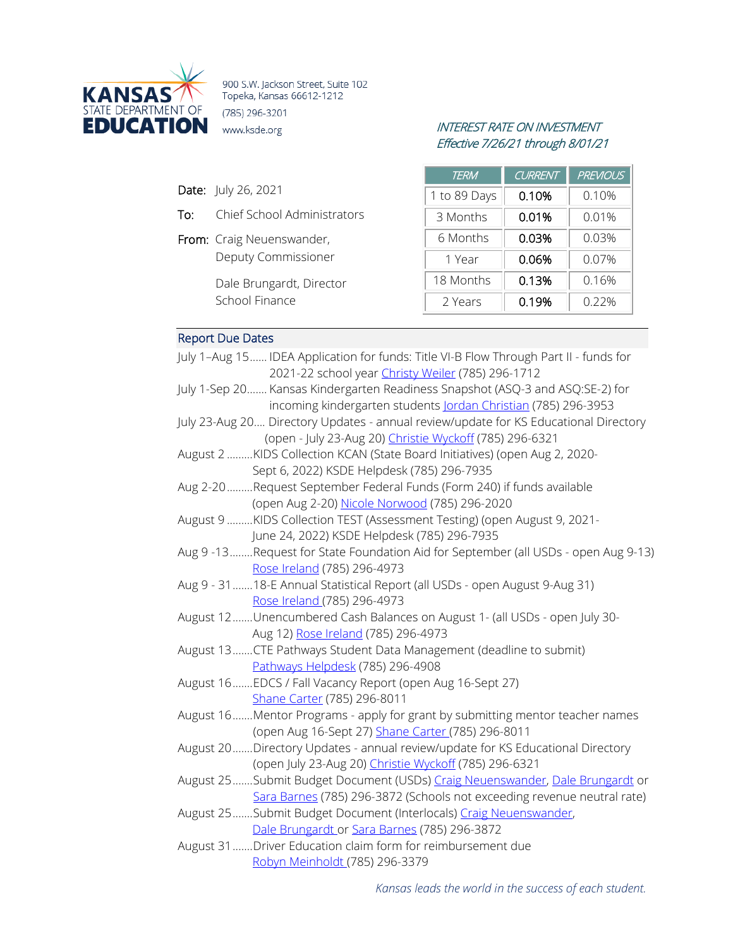

900 S.W. Jackson Street, Suite 102 Topeka, Kansas 66612-1212 (785) 296-3201 **EDUCATION** www.ksde.org INTEREST RATE ON INVESTMENT

To: Chief School Administrators

Deputy Commissioner

Dale Brungardt, Director

From: Craig Neuenswander,

School Finance

# Effective 7/26/21 through 8/01/21

| <b>TERM</b>  | <b>CURRENT</b> | <b>PREVIOUS</b> |
|--------------|----------------|-----------------|
| 1 to 89 Days | 0.10%          | 0.10%           |
| 3 Months     | 0.01%          | 0.01%           |
| 6 Months     | 0.03%          | 0.03%           |
| 1 Year       | 0.06%          | 0.07%           |
| 18 Months    | 0.13%          | 0.16%           |
| 2 Years      | 0.19%          | 0.22%           |

## Report Due Dates

Date: July 26, 2021

| July 1-Aug 15 IDEA Application for funds: Title VI-B Flow Through Part II - funds for |
|---------------------------------------------------------------------------------------|
| 2021-22 school year Christy Weiler (785) 296-1712                                     |
| July 1-Sep 20 Kansas Kindergarten Readiness Snapshot (ASQ-3 and ASQ:SE-2) for         |
| incoming kindergarten students Jordan Christian (785) 296-3953                        |
| July 23-Aug 20 Directory Updates - annual review/update for KS Educational Directory  |
| (open - July 23-Aug 20) Christie Wyckoff (785) 296-6321                               |
| August 2 KIDS Collection KCAN (State Board Initiatives) (open Aug 2, 2020-            |
| Sept 6, 2022) KSDE Helpdesk (785) 296-7935                                            |
| Aug 2-20 Request September Federal Funds (Form 240) if funds available                |
| (open Aug 2-20) Nicole Norwood (785) 296-2020                                         |
| August 9 KIDS Collection TEST (Assessment Testing) (open August 9, 2021-              |
| June 24, 2022) KSDE Helpdesk (785) 296-7935                                           |
| Aug 9-13Request for State Foundation Aid for September (all USDs - open Aug 9-13)     |
| Rose Ireland (785) 296-4973                                                           |
| Aug 9 - 31  18-E Annual Statistical Report (all USDs - open August 9-Aug 31)          |
| Rose Ireland (785) 296-4973                                                           |
| August 12Unencumbered Cash Balances on August 1- (all USDs - open July 30-            |
| Aug 12) Rose Ireland (785) 296-4973                                                   |
| August 13CTE Pathways Student Data Management (deadline to submit)                    |
| Pathways Helpdesk (785) 296-4908                                                      |
| August 16  EDCS / Fall Vacancy Report (open Aug 16-Sept 27)                           |
| Shane Carter (785) 296-8011                                                           |
| August 16Mentor Programs - apply for grant by submitting mentor teacher names         |
| (open Aug 16-Sept 27) Shane Carter (785) 296-8011                                     |
| August 20Directory Updates - annual review/update for KS Educational Directory        |
| (open July 23-Aug 20) Christie Wyckoff (785) 296-6321                                 |
| August 25Submit Budget Document (USDs) Craig Neuenswander, Dale Brungardt or          |
| Sara Barnes (785) 296-3872 (Schools not exceeding revenue neutral rate)               |
| August 25Submit Budget Document (Interlocals) Craig Neuenswander,                     |
| Dale Brungardt or Sara Barnes (785) 296-3872                                          |
| August 31 Driver Education claim form for reimbursement due                           |
| Robyn Meinholdt (785) 296-3379                                                        |

*Kansas leads the world in the success of each student.*